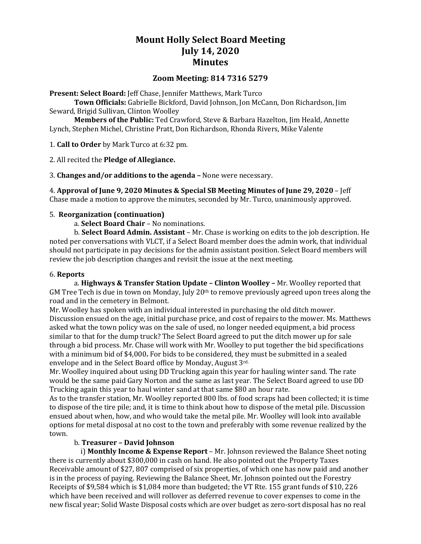# **Mount Holly Select Board Meeting July 14, 2020 Minutes**

# **Zoom Meeting: 814 7316 5279**

**Present: Select Board:** Jeff Chase, Jennifer Matthews, Mark Turco

**Town Officials:** Gabrielle Bickford, David Johnson, Jon McCann, Don Richardson, Jim Seward, Brigid Sullivan, Clinton Woolley

**Members of the Public:** Ted Crawford, Steve & Barbara Hazelton, Jim Heald, Annette Lynch, Stephen Michel, Christine Pratt, Don Richardson, Rhonda Rivers, Mike Valente

1. **Call to Order** by Mark Turco at 6:32 pm.

2. All recited the **Pledge of Allegiance.**

3. **Changes and/or additions to the agenda –** None were necessary.

4. **Approval of June 9, 2020 Minutes & Special SB Meeting Minutes of June 29, 2020** – Jeff Chase made a motion to approve the minutes, seconded by Mr. Turco, unanimously approved.

### 5. **Reorganization (continuation)**

a. **Select Board Chair** – No nominations.

b. **Select Board Admin. Assistant** – Mr. Chase is working on edits to the job description. He noted per conversations with VLCT, if a Select Board member does the admin work, that individual should not participate in pay decisions for the admin assistant position. Select Board members will review the job description changes and revisit the issue at the next meeting.

#### 6. **Reports**

a. **Highways & Transfer Station Update – Clinton Woolley –** Mr. Woolley reported that GM Tree Tech is due in town on Monday, July 20th to remove previously agreed upon trees along the road and in the cemetery in Belmont.

Mr. Woolley has spoken with an individual interested in purchasing the old ditch mower. Discussion ensued on the age, initial purchase price, and cost of repairs to the mower. Ms. Matthews asked what the town policy was on the sale of used, no longer needed equipment, a bid process similar to that for the dump truck? The Select Board agreed to put the ditch mower up for sale through a bid process. Mr. Chase will work with Mr. Woolley to put together the bid specifications with a minimum bid of \$4,000**.** For bids to be considered, they must be submitted in a sealed envelope and in the Select Board office by Monday, August 3rd.

Mr. Woolley inquired about using DD Trucking again this year for hauling winter sand. The rate would be the same paid Gary Norton and the same as last year. The Select Board agreed to use DD Trucking again this year to haul winter sand at that same \$80 an hour rate.

As to the transfer station, Mr. Woolley reported 800 lbs. of food scraps had been collected; it is time to dispose of the tire pile; and, it is time to think about how to dispose of the metal pile. Discussion ensued about when, how, and who would take the metal pile. Mr. Woolley will look into available options for metal disposal at no cost to the town and preferably with some revenue realized by the town.

# b. **Treasurer – David Johnson**

 i) **Monthly Income & Expense Report** – Mr. Johnson reviewed the Balance Sheet noting there is currently about \$300,000 in cash on hand. He also pointed out the Property Taxes Receivable amount of \$27, 807 comprised of six properties, of which one has now paid and another is in the process of paying. Reviewing the Balance Sheet, Mr. Johnson pointed out the Forestry Receipts of \$9,584 which is \$1,084 more than budgeted; the VT Rte. 155 grant funds of \$10, 226 which have been received and will rollover as deferred revenue to cover expenses to come in the new fiscal year; Solid Waste Disposal costs which are over budget as zero-sort disposal has no real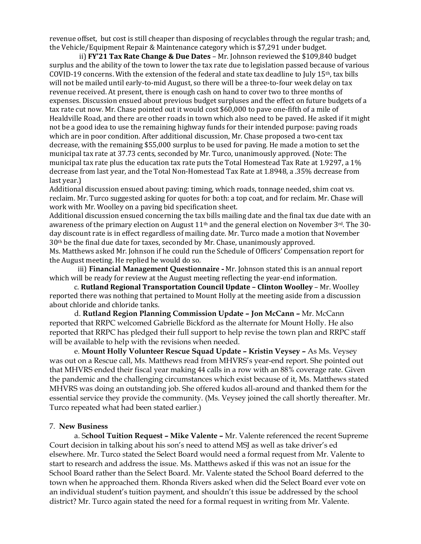revenue offset, but cost is still cheaper than disposing of recyclables through the regular trash; and, the Vehicle/Equipment Repair & Maintenance category which is \$7,291 under budget.

 ii) **FY'21 Tax Rate Change & Due Dates** – Mr. Johnson reviewed the \$109,840 budget surplus and the ability of the town to lower the tax rate due to legislation passed because of various COVID-19 concerns. With the extension of the federal and state tax deadline to July 15th, tax bills will not be mailed until early-to-mid August, so there will be a three-to-four week delay on tax revenue received. At present, there is enough cash on hand to cover two to three months of expenses. Discussion ensued about previous budget surpluses and the effect on future budgets of a tax rate cut now. Mr. Chase pointed out it would cost \$60,000 to pave one-fifth of a mile of Healdville Road, and there are other roads in town which also need to be paved. He asked if it might not be a good idea to use the remaining highway funds for their intended purpose: paving roads which are in poor condition. After additional discussion, Mr. Chase proposed a two-cent tax decrease, with the remaining \$55,000 surplus to be used for paving. He made a motion to set the municipal tax rate at 37.73 cents, seconded by Mr. Turco, unanimously approved. (Note: The municipal tax rate plus the education tax rate puts the Total Homestead Tax Rate at 1.9297, a 1% decrease from last year, and the Total Non-Homestead Tax Rate at 1.8948, a .35% decrease from last year.)

Additional discussion ensued about paving: timing, which roads, tonnage needed, shim coat vs. reclaim. Mr. Turco suggested asking for quotes for both: a top coat, and for reclaim. Mr. Chase will work with Mr. Woolley on a paving bid specification sheet.

Additional discussion ensued concerning the tax bills mailing date and the final tax due date with an awareness of the primary election on August  $11<sup>th</sup>$  and the general election on November  $3<sup>rd</sup>$ . The 30day discount rate is in effect regardless of mailing date. Mr. Turco made a motion that November  $30<sup>th</sup>$  be the final due date for taxes, seconded by Mr. Chase, unanimously approved. Ms. Matthews asked Mr. Johnson if he could run the Schedule of Officers' Compensation report for the August meeting. He replied he would do so.

 iii) **Financial Management Questionnaire -** Mr. Johnson stated this is an annual report which will be ready for review at the August meeting reflecting the year-end information.

c. **Rutland Regional Transportation Council Update – Clinton Woolley** – Mr. Woolley reported there was nothing that pertained to Mount Holly at the meeting aside from a discussion about chloride and chloride tanks.

d. **Rutland Region Planning Commission Update – Jon McCann –** Mr. McCann reported that RRPC welcomed Gabrielle Bickford as the alternate for Mount Holly. He also reported that RRPC has pledged their full support to help revise the town plan and RRPC staff will be available to help with the revisions when needed.

e. **Mount Holly Volunteer Rescue Squad Update – Kristin Veysey –** As Ms. Veysey was out on a Rescue call, Ms. Matthews read from MHVRS's year-end report. She pointed out that MHVRS ended their fiscal year making 44 calls in a row with an 88% coverage rate. Given the pandemic and the challenging circumstances which exist because of it, Ms. Matthews stated MHVRS was doing an outstanding job. She offered kudos all-around and thanked them for the essential service they provide the community. (Ms. Veysey joined the call shortly thereafter. Mr. Turco repeated what had been stated earlier.)

#### 7. **New Business**

a. S**chool Tuition Request – Mike Valente –** Mr. Valente referenced the recent Supreme Court decision in talking about his son's need to attend MSJ as well as take driver's ed elsewhere. Mr. Turco stated the Select Board would need a formal request from Mr. Valente to start to research and address the issue. Ms. Matthews asked if this was not an issue for the School Board rather than the Select Board. Mr. Valente stated the School Board deferred to the town when he approached them. Rhonda Rivers asked when did the Select Board ever vote on an individual student's tuition payment, and shouldn't this issue be addressed by the school district? Mr. Turco again stated the need for a formal request in writing from Mr. Valente.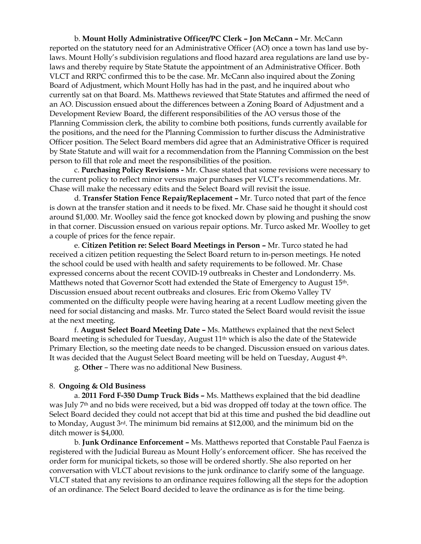b. **Mount Holly Administrative Officer/PC Clerk – Jon McCann –** Mr. McCann reported on the statutory need for an Administrative Officer (AO) once a town has land use bylaws. Mount Holly's subdivision regulations and flood hazard area regulations are land use bylaws and thereby require by State Statute the appointment of an Administrative Officer. Both VLCT and RRPC confirmed this to be the case. Mr. McCann also inquired about the Zoning Board of Adjustment, which Mount Holly has had in the past, and he inquired about who currently sat on that Board. Ms. Matthews reviewed that State Statutes and affirmed the need of an AO. Discussion ensued about the differences between a Zoning Board of Adjustment and a Development Review Board, the different responsibilities of the AO versus those of the Planning Commission clerk, the ability to combine both positions, funds currently available for the positions, and the need for the Planning Commission to further discuss the Administrative Officer position. The Select Board members did agree that an Administrative Officer is required by State Statute and will wait for a recommendation from the Planning Commission on the best person to fill that role and meet the responsibilities of the position.

c. **Purchasing Policy Revisions -** Mr. Chase stated that some revisions were necessary to the current policy to reflect minor versus major purchases per VLCT's recommendations. Mr. Chase will make the necessary edits and the Select Board will revisit the issue.

d. **Transfer Station Fence Repair/Replacement –** Mr. Turco noted that part of the fence is down at the transfer station and it needs to be fixed. Mr. Chase said he thought it should cost around \$1,000. Mr. Woolley said the fence got knocked down by plowing and pushing the snow in that corner. Discussion ensued on various repair options. Mr. Turco asked Mr. Woolley to get a couple of prices for the fence repair.

e. **Citizen Petition re: Select Board Meetings in Person –** Mr. Turco stated he had received a citizen petition requesting the Select Board return to in-person meetings. He noted the school could be used with health and safety requirements to be followed. Mr. Chase expressed concerns about the recent COVID-19 outbreaks in Chester and Londonderry. Ms. Matthews noted that Governor Scott had extended the State of Emergency to August 15th. Discussion ensued about recent outbreaks and closures. Eric from Okemo Valley TV commented on the difficulty people were having hearing at a recent Ludlow meeting given the need for social distancing and masks. Mr. Turco stated the Select Board would revisit the issue at the next meeting.

f. **August Select Board Meeting Date –** Ms. Matthews explained that the next Select Board meeting is scheduled for Tuesday, August 11th which is also the date of the Statewide Primary Election, so the meeting date needs to be changed. Discussion ensued on various dates. It was decided that the August Select Board meeting will be held on Tuesday, August 4th.

g. **Other** – There was no additional New Business.

#### 8. **Ongoing & Old Business**

a. **2011 Ford F-350 Dump Truck Bids –** Ms. Matthews explained that the bid deadline was July 7th and no bids were received, but a bid was dropped off today at the town office. The Select Board decided they could not accept that bid at this time and pushed the bid deadline out to Monday, August 3rd. The minimum bid remains at \$12,000, and the minimum bid on the ditch mower is \$4,000.

b. **Junk Ordinance Enforcement –** Ms. Matthews reported that Constable Paul Faenza is registered with the Judicial Bureau as Mount Holly's enforcement officer. She has received the order form for municipal tickets, so those will be ordered shortly. She also reported on her conversation with VLCT about revisions to the junk ordinance to clarify some of the language. VLCT stated that any revisions to an ordinance requires following all the steps for the adoption of an ordinance. The Select Board decided to leave the ordinance as is for the time being.